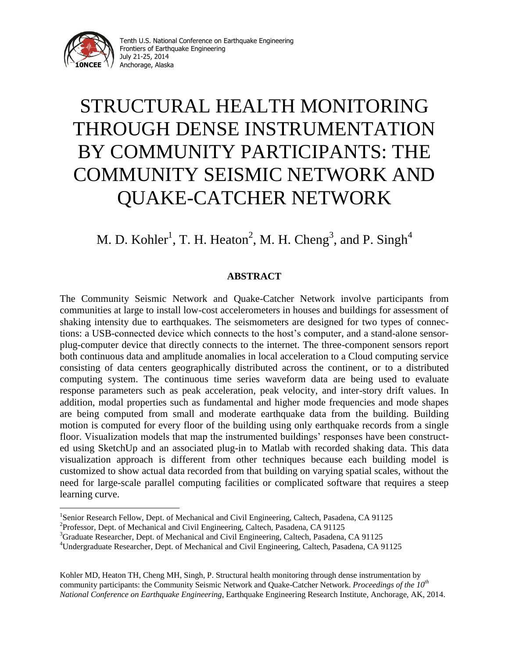

i<br>L

# STRUCTURAL HEALTH MONITORING THROUGH DENSE INSTRUMENTATION BY COMMUNITY PARTICIPANTS: THE COMMUNITY SEISMIC NETWORK AND QUAKE-CATCHER NETWORK

# M. D. Kohler<sup>1</sup>, T. H. Heaton<sup>2</sup>, M. H. Cheng<sup>3</sup>, and P. Singh<sup>4</sup>

## **ABSTRACT**

The Community Seismic Network and Quake-Catcher Network involve participants from communities at large to install low-cost accelerometers in houses and buildings for assessment of shaking intensity due to earthquakes. The seismometers are designed for two types of connections: a USB-connected device which connects to the host's computer, and a stand-alone sensorplug-computer device that directly connects to the internet. The three-component sensors report both continuous data and amplitude anomalies in local acceleration to a Cloud computing service consisting of data centers geographically distributed across the continent, or to a distributed computing system. The continuous time series waveform data are being used to evaluate response parameters such as peak acceleration, peak velocity, and inter-story drift values. In addition, modal properties such as fundamental and higher mode frequencies and mode shapes are being computed from small and moderate earthquake data from the building. Building motion is computed for every floor of the building using only earthquake records from a single floor. Visualization models that map the instrumented buildings' responses have been constructed using SketchUp and an associated plug-in to Matlab with recorded shaking data. This data visualization approach is different from other techniques because each building model is customized to show actual data recorded from that building on varying spatial scales, without the need for large-scale parallel computing facilities or complicated software that requires a steep learning curve.

Kohler MD, Heaton TH, Cheng MH, Singh, P. Structural health monitoring through dense instrumentation by community participants: the Community Seismic Network and Quake-Catcher Network. *Proceedings of the 10th National Conference on Earthquake Engineering*, Earthquake Engineering Research Institute, Anchorage, AK, 2014.

<sup>&</sup>lt;sup>1</sup>Senior Research Fellow, Dept. of Mechanical and Civil Engineering, Caltech, Pasadena, CA 91125

<sup>&</sup>lt;sup>2</sup>Professor, Dept. of Mechanical and Civil Engineering, Caltech, Pasadena, CA 91125

<sup>&</sup>lt;sup>3</sup>Graduate Researcher, Dept. of Mechanical and Civil Engineering, Caltech, Pasadena, CA 91125

<sup>4</sup>Undergraduate Researcher, Dept. of Mechanical and Civil Engineering, Caltech, Pasadena, CA 91125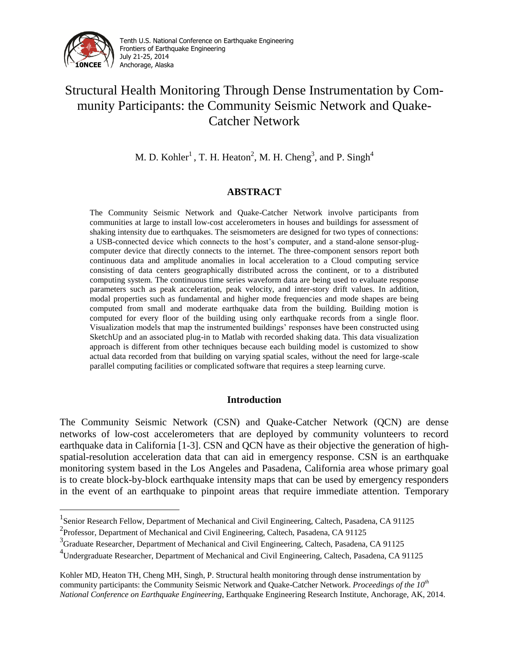

i<br>L

Tenth U.S. National Conference on Earthquake Engineering Frontiers of Earthquake Engineering July 21-25, 2014 Anchorage, Alaska

# Structural Health Monitoring Through Dense Instrumentation by Community Participants: the Community Seismic Network and Quake-Catcher Network

M. D. Kohler<sup>1</sup>, T. H. Heaton<sup>2</sup>, M. H. Cheng<sup>3</sup>, and P. Singh<sup>4</sup>

## **ABSTRACT**

The Community Seismic Network and Quake-Catcher Network involve participants from communities at large to install low-cost accelerometers in houses and buildings for assessment of shaking intensity due to earthquakes. The seismometers are designed for two types of connections: a USB-connected device which connects to the host's computer, and a stand-alone sensor-plugcomputer device that directly connects to the internet. The three-component sensors report both continuous data and amplitude anomalies in local acceleration to a Cloud computing service consisting of data centers geographically distributed across the continent, or to a distributed computing system. The continuous time series waveform data are being used to evaluate response parameters such as peak acceleration, peak velocity, and inter-story drift values. In addition, modal properties such as fundamental and higher mode frequencies and mode shapes are being computed from small and moderate earthquake data from the building. Building motion is computed for every floor of the building using only earthquake records from a single floor. Visualization models that map the instrumented buildings' responses have been constructed using SketchUp and an associated plug-in to Matlab with recorded shaking data. This data visualization approach is different from other techniques because each building model is customized to show actual data recorded from that building on varying spatial scales, without the need for large-scale parallel computing facilities or complicated software that requires a steep learning curve.

### **Introduction**

The Community Seismic Network (CSN) and Quake-Catcher Network (QCN) are dense networks of low-cost accelerometers that are deployed by community volunteers to record earthquake data in California [1-3]. CSN and QCN have as their objective the generation of highspatial-resolution acceleration data that can aid in emergency response. CSN is an earthquake monitoring system based in the Los Angeles and Pasadena, California area whose primary goal is to create block-by-block earthquake intensity maps that can be used by emergency responders in the event of an earthquake to pinpoint areas that require immediate attention. Temporary

<sup>&</sup>lt;sup>1</sup> Senior Research Fellow, Department of Mechanical and Civil Engineering, Caltech, Pasadena, CA 91125

<sup>&</sup>lt;sup>2</sup> Professor, Department of Mechanical and Civil Engineering, Caltech, Pasadena, CA 91125

<sup>&</sup>lt;sup>3</sup>Graduate Researcher, Department of Mechanical and Civil Engineering, Caltech, Pasadena, CA 91125

<sup>4</sup> Undergraduate Researcher, Department of Mechanical and Civil Engineering, Caltech, Pasadena, CA 91125

Kohler MD, Heaton TH, Cheng MH, Singh, P. Structural health monitoring through dense instrumentation by community participants: the Community Seismic Network and Quake-Catcher Network. *Proceedings of the 10th National Conference on Earthquake Engineering*, Earthquake Engineering Research Institute, Anchorage, AK, 2014.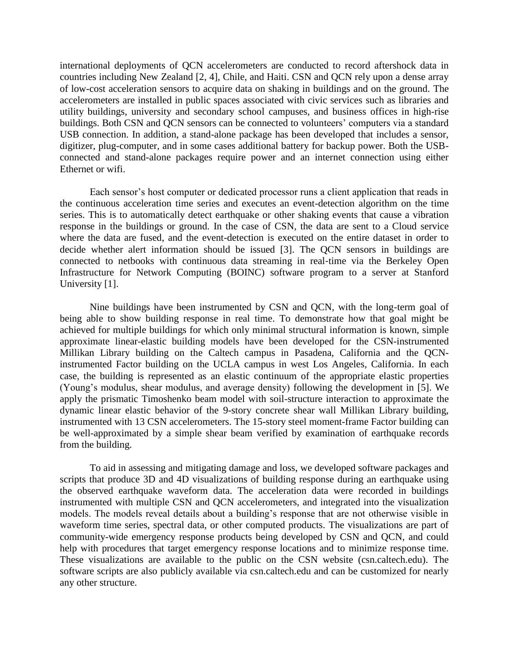international deployments of QCN accelerometers are conducted to record aftershock data in countries including New Zealand [2, 4], Chile, and Haiti. CSN and QCN rely upon a dense array of low-cost acceleration sensors to acquire data on shaking in buildings and on the ground. The accelerometers are installed in public spaces associated with civic services such as libraries and utility buildings, university and secondary school campuses, and business offices in high-rise buildings. Both CSN and QCN sensors can be connected to volunteers' computers via a standard USB connection. In addition, a stand-alone package has been developed that includes a sensor, digitizer, plug-computer, and in some cases additional battery for backup power. Both the USBconnected and stand-alone packages require power and an internet connection using either Ethernet or wifi.

Each sensor's host computer or dedicated processor runs a client application that reads in the continuous acceleration time series and executes an event-detection algorithm on the time series. This is to automatically detect earthquake or other shaking events that cause a vibration response in the buildings or ground. In the case of CSN, the data are sent to a Cloud service where the data are fused, and the event-detection is executed on the entire dataset in order to decide whether alert information should be issued [3]. The QCN sensors in buildings are connected to netbooks with continuous data streaming in real-time via the Berkeley Open Infrastructure for Network Computing (BOINC) software program to a server at Stanford University [1].

Nine buildings have been instrumented by CSN and QCN, with the long-term goal of being able to show building response in real time. To demonstrate how that goal might be achieved for multiple buildings for which only minimal structural information is known, simple approximate linear-elastic building models have been developed for the CSN-instrumented Millikan Library building on the Caltech campus in Pasadena, California and the QCNinstrumented Factor building on the UCLA campus in west Los Angeles, California. In each case, the building is represented as an elastic continuum of the appropriate elastic properties (Young's modulus, shear modulus, and average density) following the development in [5]. We apply the prismatic Timoshenko beam model with soil-structure interaction to approximate the dynamic linear elastic behavior of the 9-story concrete shear wall Millikan Library building, instrumented with 13 CSN accelerometers. The 15-story steel moment-frame Factor building can be well-approximated by a simple shear beam verified by examination of earthquake records from the building.

To aid in assessing and mitigating damage and loss, we developed software packages and scripts that produce 3D and 4D visualizations of building response during an earthquake using the observed earthquake waveform data. The acceleration data were recorded in buildings instrumented with multiple CSN and QCN accelerometers, and integrated into the visualization models. The models reveal details about a building's response that are not otherwise visible in waveform time series, spectral data, or other computed products. The visualizations are part of community-wide emergency response products being developed by CSN and QCN, and could help with procedures that target emergency response locations and to minimize response time. These visualizations are available to the public on the CSN website (csn.caltech.edu). The software scripts are also publicly available via csn.caltech.edu and can be customized for nearly any other structure.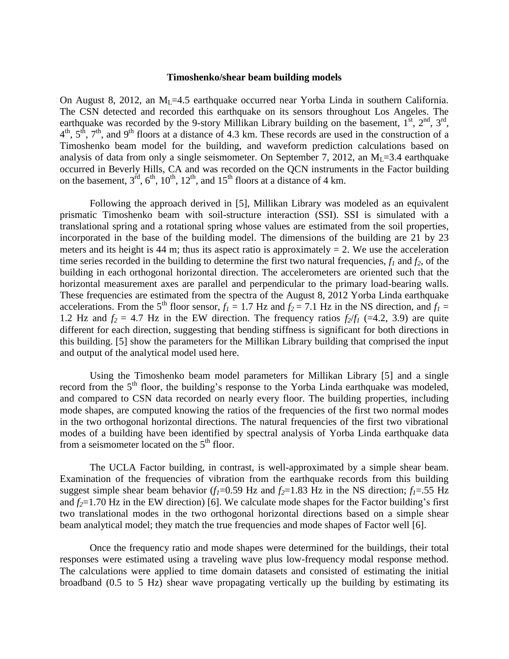#### **Timoshenko/shear beam building models**

On August 8, 2012, an  $M<sub>L</sub>=4.5$  earthquake occurred near Yorba Linda in southern California. The CSN detected and recorded this earthquake on its sensors throughout Los Angeles. The earthquake was recorded by the 9-story Millikan Library building on the basement,  $1^{st}$ ,  $2^{nd}$ ,  $3^{rd}$ ,  $4<sup>th</sup>$ ,  $5<sup>th</sup>$ ,  $7<sup>th</sup>$ , and  $9<sup>th</sup>$  floors at a distance of 4.3 km. These records are used in the construction of a Timoshenko beam model for the building, and waveform prediction calculations based on analysis of data from only a single seismometer. On September 7, 2012, an  $M<sub>L</sub>=3.4$  earthquake occurred in Beverly Hills, CA and was recorded on the QCN instruments in the Factor building on the basement,  $3^{\text{rd}}$ ,  $6^{\text{th}}$ ,  $10^{\text{th}}$ ,  $12^{\text{th}}$ , and  $15^{\text{th}}$  floors at a distance of 4 km.

Following the approach derived in [5], Millikan Library was modeled as an equivalent prismatic Timoshenko beam with soil-structure interaction (SSI). SSI is simulated with a translational spring and a rotational spring whose values are estimated from the soil properties, incorporated in the base of the building model. The dimensions of the building are 21 by 23 meters and its height is 44 m; thus its aspect ratio is approximately  $= 2$ . We use the acceleration time series recorded in the building to determine the first two natural frequencies,  $f_l$  and  $f_2$ , of the building in each orthogonal horizontal direction. The accelerometers are oriented such that the horizontal measurement axes are parallel and perpendicular to the primary load-bearing walls. These frequencies are estimated from the spectra of the August 8, 2012 Yorba Linda earthquake accelerations. From the 5<sup>th</sup> floor sensor,  $f_1 = 1.7$  Hz and  $f_2 = 7.1$  Hz in the NS direction, and  $f_1 =$ 1.2 Hz and  $f_2 = 4.7$  Hz in the EW direction. The frequency ratios  $f_2/f_1$  (=4.2, 3.9) are quite different for each direction, suggesting that bending stiffness is significant for both directions in this building. [5] show the parameters for the Millikan Library building that comprised the input and output of the analytical model used here.

Using the Timoshenko beam model parameters for Millikan Library [5] and a single record from the 5<sup>th</sup> floor, the building's response to the Yorba Linda earthquake was modeled, and compared to CSN data recorded on nearly every floor. The building properties, including mode shapes, are computed knowing the ratios of the frequencies of the first two normal modes in the two orthogonal horizontal directions. The natural frequencies of the first two vibrational modes of a building have been identified by spectral analysis of Yorba Linda earthquake data from a seismometer located on the  $5<sup>th</sup>$  floor.

The UCLA Factor building, in contrast, is well-approximated by a simple shear beam. Examination of the frequencies of vibration from the earthquake records from this building suggest simple shear beam behavior ( $f_1$ =0.59 Hz and  $f_2$ =1.83 Hz in the NS direction;  $f_1$ =.55 Hz and  $f_2$ =1.70 Hz in the EW direction) [6]. We calculate mode shapes for the Factor building's first two translational modes in the two orthogonal horizontal directions based on a simple shear beam analytical model; they match the true frequencies and mode shapes of Factor well [6].

Once the frequency ratio and mode shapes were determined for the buildings, their total responses were estimated using a traveling wave plus low-frequency modal response method. The calculations were applied to time domain datasets and consisted of estimating the initial broadband (0.5 to 5 Hz) shear wave propagating vertically up the building by estimating its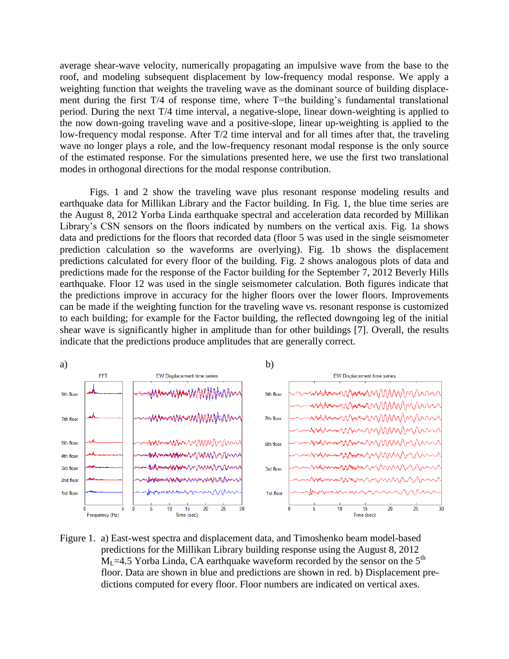average shear-wave velocity, numerically propagating an impulsive wave from the base to the roof, and modeling subsequent displacement by low-frequency modal response. We apply a weighting function that weights the traveling wave as the dominant source of building displacement during the first T/4 of response time, where T=the building's fundamental translational period. During the next T/4 time interval, a negative-slope, linear down-weighting is applied to the now down-going traveling wave and a positive-slope, linear up-weighting is applied to the low-frequency modal response. After T/2 time interval and for all times after that, the traveling wave no longer plays a role, and the low-frequency resonant modal response is the only source of the estimated response. For the simulations presented here, we use the first two translational modes in orthogonal directions for the modal response contribution.

Figs. 1 and 2 show the traveling wave plus resonant response modeling results and earthquake data for Millikan Library and the Factor building. In Fig. 1, the blue time series are the August 8, 2012 Yorba Linda earthquake spectral and acceleration data recorded by Millikan Library's CSN sensors on the floors indicated by numbers on the vertical axis. Fig. 1a shows data and predictions for the floors that recorded data (floor 5 was used in the single seismometer prediction calculation so the waveforms are overlying). Fig. 1b shows the displacement predictions calculated for every floor of the building. Fig. 2 shows analogous plots of data and predictions made for the response of the Factor building for the September 7, 2012 Beverly Hills earthquake. Floor 12 was used in the single seismometer calculation. Both figures indicate that the predictions improve in accuracy for the higher floors over the lower floors. Improvements can be made if the weighting function for the traveling wave vs. resonant response is customized to each building; for example for the Factor building, the reflected downgoing leg of the initial shear wave is significantly higher in amplitude than for other buildings [7]. Overall, the results indicate that the predictions produce amplitudes that are generally correct.



Figure 1. a) East-west spectra and displacement data, and Timoshenko beam model-based predictions for the Millikan Library building response using the August 8, 2012  $M<sub>L</sub>=4.5$  Yorba Linda, CA earthquake waveform recorded by the sensor on the 5<sup>th</sup> floor. Data are shown in blue and predictions are shown in red. b) Displacement predictions computed for every floor. Floor numbers are indicated on vertical axes.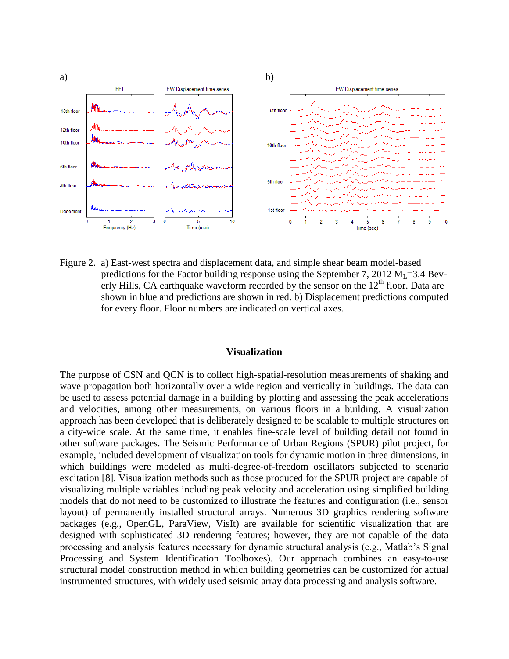

Figure 2. a) East-west spectra and displacement data, and simple shear beam model-based predictions for the Factor building response using the September 7, 2012  $M<sub>L</sub>=3.4$  Beverly Hills, CA earthquake waveform recorded by the sensor on the  $12<sup>th</sup>$  floor. Data are shown in blue and predictions are shown in red. b) Displacement predictions computed for every floor. Floor numbers are indicated on vertical axes.

#### **Visualization**

The purpose of CSN and QCN is to collect high-spatial-resolution measurements of shaking and wave propagation both horizontally over a wide region and vertically in buildings. The data can be used to assess potential damage in a building by plotting and assessing the peak accelerations and velocities, among other measurements, on various floors in a building. A visualization approach has been developed that is deliberately designed to be scalable to multiple structures on a city-wide scale. At the same time, it enables fine-scale level of building detail not found in other software packages. The Seismic Performance of Urban Regions (SPUR) pilot project, for example, included development of visualization tools for dynamic motion in three dimensions, in which buildings were modeled as multi-degree-of-freedom oscillators subjected to scenario excitation [8]. Visualization methods such as those produced for the SPUR project are capable of visualizing multiple variables including peak velocity and acceleration using simplified building models that do not need to be customized to illustrate the features and configuration (i.e., sensor layout) of permanently installed structural arrays. Numerous 3D graphics rendering software packages (e.g., OpenGL, ParaView, VisIt) are available for scientific visualization that are designed with sophisticated 3D rendering features; however, they are not capable of the data processing and analysis features necessary for dynamic structural analysis (e.g., Matlab's Signal Processing and System Identification Toolboxes). Our approach combines an easy-to-use structural model construction method in which building geometries can be customized for actual instrumented structures, with widely used seismic array data processing and analysis software.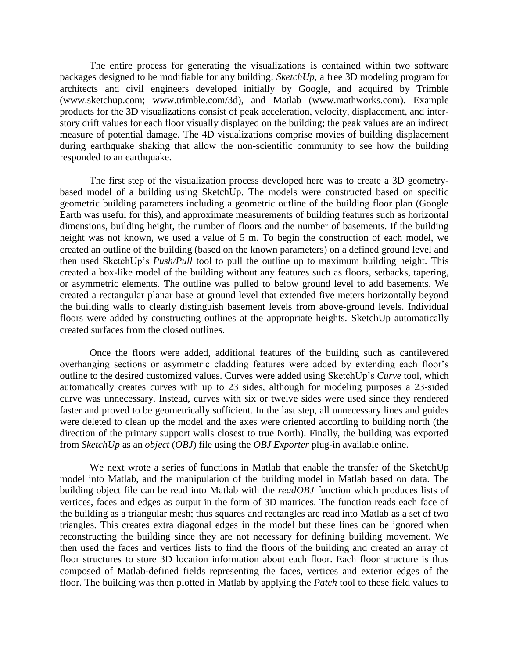The entire process for generating the visualizations is contained within two software packages designed to be modifiable for any building: *SketchUp*, a free 3D modeling program for architects and civil engineers developed initially by Google, and acquired by Trimble [\(www.sketchup.com;](http://www.sketchup.com/) [www.trimble.com/3d\),](http://www.trimble.com/3d) and Matlab (www.mathworks.com). Example products for the 3D visualizations consist of peak acceleration, velocity, displacement, and interstory drift values for each floor visually displayed on the building; the peak values are an indirect measure of potential damage. The 4D visualizations comprise movies of building displacement during earthquake shaking that allow the non-scientific community to see how the building responded to an earthquake.

The first step of the visualization process developed here was to create a 3D geometrybased model of a building using SketchUp. The models were constructed based on specific geometric building parameters including a geometric outline of the building floor plan (Google Earth was useful for this), and approximate measurements of building features such as horizontal dimensions, building height, the number of floors and the number of basements. If the building height was not known, we used a value of 5 m. To begin the construction of each model, we created an outline of the building (based on the known parameters) on a defined ground level and then used SketchUp's *Push/Pull* tool to pull the outline up to maximum building height. This created a box-like model of the building without any features such as floors, setbacks, tapering, or asymmetric elements. The outline was pulled to below ground level to add basements. We created a rectangular planar base at ground level that extended five meters horizontally beyond the building walls to clearly distinguish basement levels from above-ground levels. Individual floors were added by constructing outlines at the appropriate heights. SketchUp automatically created surfaces from the closed outlines.

Once the floors were added, additional features of the building such as cantilevered overhanging sections or asymmetric cladding features were added by extending each floor's outline to the desired customized values. Curves were added using SketchUp's *Curve* tool, which automatically creates curves with up to 23 sides, although for modeling purposes a 23-sided curve was unnecessary. Instead, curves with six or twelve sides were used since they rendered faster and proved to be geometrically sufficient. In the last step, all unnecessary lines and guides were deleted to clean up the model and the axes were oriented according to building north (the direction of the primary support walls closest to true North). Finally, the building was exported from *SketchUp* as an *object* (*OBJ*) file using the *OBJ Exporter* plug-in available online.

We next wrote a series of functions in Matlab that enable the transfer of the SketchUp model into Matlab, and the manipulation of the building model in Matlab based on data. The building object file can be read into Matlab with the *readOBJ* function which produces lists of vertices, faces and edges as output in the form of 3D matrices. The function reads each face of the building as a triangular mesh; thus squares and rectangles are read into Matlab as a set of two triangles. This creates extra diagonal edges in the model but these lines can be ignored when reconstructing the building since they are not necessary for defining building movement. We then used the faces and vertices lists to find the floors of the building and created an array of floor structures to store 3D location information about each floor. Each floor structure is thus composed of Matlab-defined fields representing the faces, vertices and exterior edges of the floor. The building was then plotted in Matlab by applying the *Patch* tool to these field values to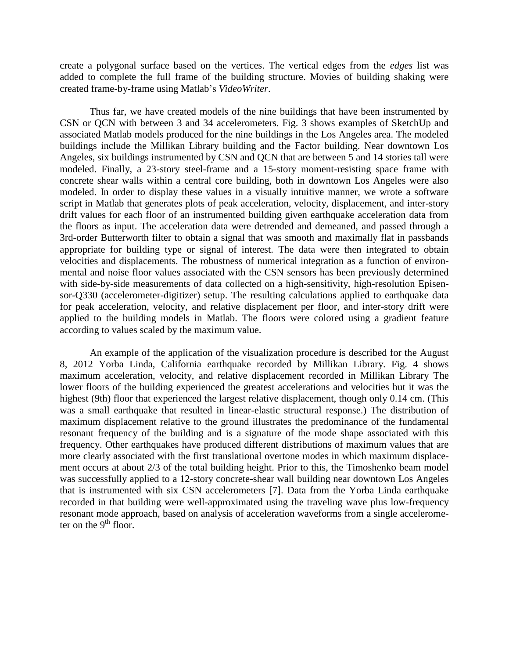create a polygonal surface based on the vertices. The vertical edges from the *edges* list was added to complete the full frame of the building structure. Movies of building shaking were created frame-by-frame using Matlab's *VideoWriter*.

Thus far, we have created models of the nine buildings that have been instrumented by CSN or QCN with between 3 and 34 accelerometers. Fig. 3 shows examples of SketchUp and associated Matlab models produced for the nine buildings in the Los Angeles area. The modeled buildings include the Millikan Library building and the Factor building. Near downtown Los Angeles, six buildings instrumented by CSN and QCN that are between 5 and 14 stories tall were modeled. Finally, a 23-story steel-frame and a 15-story moment-resisting space frame with concrete shear walls within a central core building, both in downtown Los Angeles were also modeled. In order to display these values in a visually intuitive manner, we wrote a software script in Matlab that generates plots of peak acceleration, velocity, displacement, and inter-story drift values for each floor of an instrumented building given earthquake acceleration data from the floors as input. The acceleration data were detrended and demeaned, and passed through a 3rd-order Butterworth filter to obtain a signal that was smooth and maximally flat in passbands appropriate for building type or signal of interest. The data were then integrated to obtain velocities and displacements. The robustness of numerical integration as a function of environmental and noise floor values associated with the CSN sensors has been previously determined with side-by-side measurements of data collected on a high-sensitivity, high-resolution Episensor-Q330 (accelerometer-digitizer) setup. The resulting calculations applied to earthquake data for peak acceleration, velocity, and relative displacement per floor, and inter-story drift were applied to the building models in Matlab. The floors were colored using a gradient feature according to values scaled by the maximum value.

An example of the application of the visualization procedure is described for the August 8, 2012 Yorba Linda, California earthquake recorded by Millikan Library. Fig. 4 shows maximum acceleration, velocity, and relative displacement recorded in Millikan Library The lower floors of the building experienced the greatest accelerations and velocities but it was the highest (9th) floor that experienced the largest relative displacement, though only 0.14 cm. (This was a small earthquake that resulted in linear-elastic structural response.) The distribution of maximum displacement relative to the ground illustrates the predominance of the fundamental resonant frequency of the building and is a signature of the mode shape associated with this frequency. Other earthquakes have produced different distributions of maximum values that are more clearly associated with the first translational overtone modes in which maximum displacement occurs at about 2/3 of the total building height. Prior to this, the Timoshenko beam model was successfully applied to a 12-story concrete-shear wall building near downtown Los Angeles that is instrumented with six CSN accelerometers [7]. Data from the Yorba Linda earthquake recorded in that building were well-approximated using the traveling wave plus low-frequency resonant mode approach, based on analysis of acceleration waveforms from a single accelerometer on the  $9<sup>th</sup>$  floor.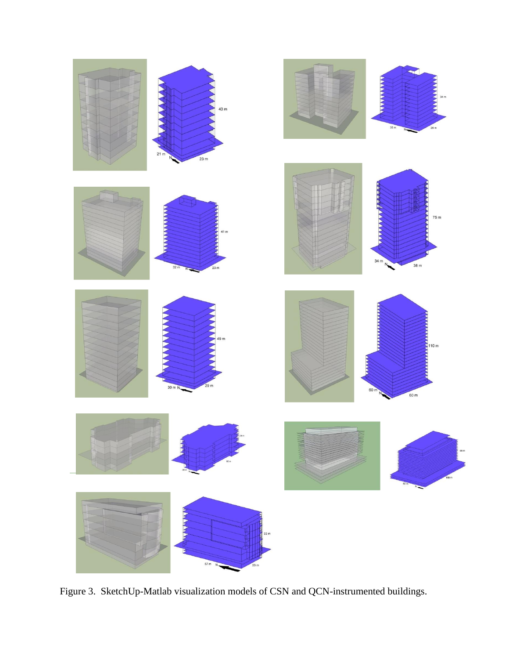

Figure 3. SketchUp-Matlab visualization models of CSN and QCN-instrumented buildings.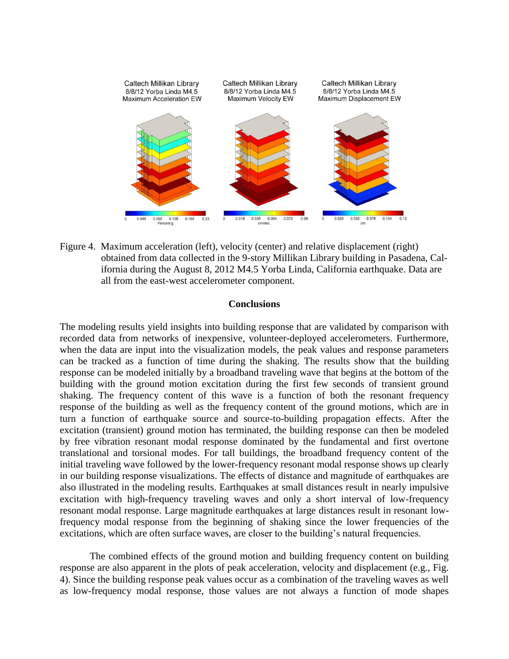

Figure 4. Maximum acceleration (left), velocity (center) and relative displacement (right) obtained from data collected in the 9-story Millikan Library building in Pasadena, California during the August 8, 2012 M4.5 Yorba Linda, California earthquake. Data are all from the east-west accelerometer component.

#### **Conclusions**

The modeling results yield insights into building response that are validated by comparison with recorded data from networks of inexpensive, volunteer-deployed accelerometers. Furthermore, when the data are input into the visualization models, the peak values and response parameters can be tracked as a function of time during the shaking. The results show that the building response can be modeled initially by a broadband traveling wave that begins at the bottom of the building with the ground motion excitation during the first few seconds of transient ground shaking. The frequency content of this wave is a function of both the resonant frequency response of the building as well as the frequency content of the ground motions, which are in turn a function of earthquake source and source-to-building propagation effects. After the excitation (transient) ground motion has terminated, the building response can then be modeled by free vibration resonant modal response dominated by the fundamental and first overtone translational and torsional modes. For tall buildings, the broadband frequency content of the initial traveling wave followed by the lower-frequency resonant modal response shows up clearly in our building response visualizations. The effects of distance and magnitude of earthquakes are also illustrated in the modeling results. Earthquakes at small distances result in nearly impulsive excitation with high-frequency traveling waves and only a short interval of low-frequency resonant modal response. Large magnitude earthquakes at large distances result in resonant lowfrequency modal response from the beginning of shaking since the lower frequencies of the excitations, which are often surface waves, are closer to the building's natural frequencies.

The combined effects of the ground motion and building frequency content on building response are also apparent in the plots of peak acceleration, velocity and displacement (e.g., Fig. 4). Since the building response peak values occur as a combination of the traveling waves as well as low-frequency modal response, those values are not always a function of mode shapes